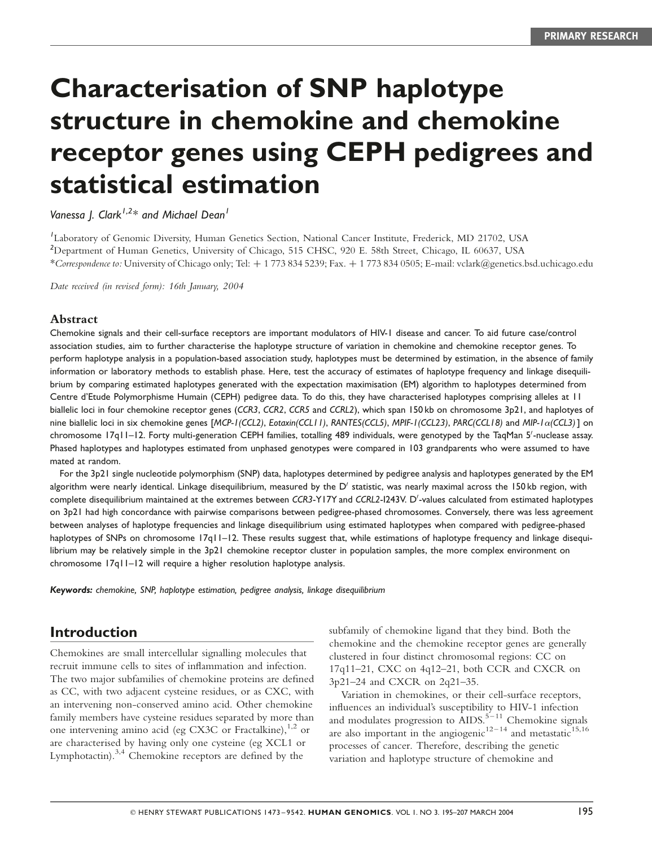# Characterisation of SNP haplotype structure in chemokine and chemokine receptor genes using CEPH pedigrees and statistical estimation

Vanessa J. Clark<sup>1,2\*</sup> and Michael Dean<sup>1</sup>

1 Laboratory of Genomic Diversity, Human Genetics Section, National Cancer Institute, Frederick, MD 21702, USA <sup>2</sup>Department of Human Genetics, University of Chicago, 515 CHSC, 920 E. 58th Street, Chicago, IL 60637, USA \*Correspondence to: University of Chicago only; Tel: þ 1 773 834 5239; Fax. þ 1 773 834 0505; E-mail: vclark@genetics.bsd.uchicago.edu

Date received (in revised form): 16th January, 2004

#### Abstract

Chemokine signals and their cell-surface receptors are important modulators of HIV-1 disease and cancer. To aid future case/control association studies, aim to further characterise the haplotype structure of variation in chemokine and chemokine receptor genes. To perform haplotype analysis in a population-based association study, haplotypes must be determined by estimation, in the absence of family information or laboratory methods to establish phase. Here, test the accuracy of estimates of haplotype frequency and linkage disequilibrium by comparing estimated haplotypes generated with the expectation maximisation (EM) algorithm to haplotypes determined from Centre d'Etude Polymorphisme Humain (CEPH) pedigree data. To do this, they have characterised haplotypes comprising alleles at 11 biallelic loci in four chemokine receptor genes (CCR3, CCR2, CCR5 and CCRL2), which span 150 kb on chromosome 3p21, and haplotyes of nine biallelic loci in six chemokine genes [MCP-1(CCL2), Eotaxin(CCL11), RANTES(CCL5), MPIF-1(CCL23), PARC(CCL18) and MIP-1 $\alpha$ (CCL3)] on chromosome 17q11-12. Forty multi-generation CEPH families, totalling 489 individuals, were genotyped by the TaqMan 5'-nuclease assay. Phased haplotypes and haplotypes estimated from unphased genotypes were compared in 103 grandparents who were assumed to have mated at random.

For the 3p21 single nucleotide polymorphism (SNP) data, haplotypes determined by pedigree analysis and haplotypes generated by the EM algorithm were nearly identical. Linkage disequilibrium, measured by the  $D'$  statistic, was nearly maximal across the 150 kb region, with complete disequilibrium maintained at the extremes between CCR3-Y17Y and CCRL2-1243V. D'-values calculated from estimated haplotypes on 3p21 had high concordance with pairwise comparisons between pedigree-phased chromosomes. Conversely, there was less agreement between analyses of haplotype frequencies and linkage disequilibrium using estimated haplotypes when compared with pedigree-phased haplotypes of SNPs on chromosome 17q11-12. These results suggest that, while estimations of haplotype frequency and linkage disequilibrium may be relatively simple in the 3p21 chemokine receptor cluster in population samples, the more complex environment on chromosome 17q11–12 will require a higher resolution haplotype analysis.

Keywords: chemokine, SNP, haplotype estimation, pedigree analysis, linkage disequilibrium

## Introduction

Chemokines are small intercellular signalling molecules that recruit immune cells to sites of inflammation and infection. The two major subfamilies of chemokine proteins are defined as CC, with two adjacent cysteine residues, or as CXC, with an intervening non-conserved amino acid. Other chemokine family members have cysteine residues separated by more than one intervening amino acid (eg CX3C or Fractalkine), $1,2$  or are characterised by having only one cysteine (eg XCL1 or Lymphotactin).3,4 Chemokine receptors are defined by the

subfamily of chemokine ligand that they bind. Both the chemokine and the chemokine receptor genes are generally clustered in four distinct chromosomal regions: CC on 17q11–21, CXC on 4q12–21, both CCR and CXCR on 3p21–24 and CXCR on 2q21–35.

Variation in chemokines, or their cell-surface receptors, influences an individual's susceptibility to HIV-1 infection and modulates progression to  $AIDS$ .<sup>5-11</sup> Chemokine signals are also important in the angiogenic<sup>12–14</sup> and metastatic<sup>15,16</sup> processes of cancer. Therefore, describing the genetic variation and haplotype structure of chemokine and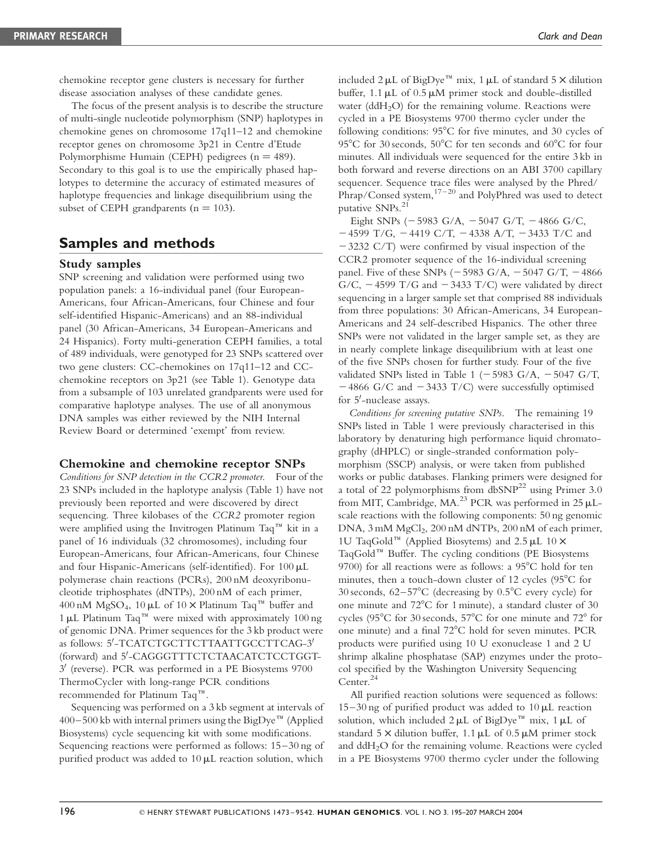chemokine receptor gene clusters is necessary for further disease association analyses of these candidate genes.

The focus of the present analysis is to describe the structure of multi-single nucleotide polymorphism (SNP) haplotypes in chemokine genes on chromosome 17q11–12 and chemokine receptor genes on chromosome 3p21 in Centre d'Etude Polymorphisme Humain (CEPH) pedigrees  $(n = 489)$ . Secondary to this goal is to use the empirically phased haplotypes to determine the accuracy of estimated measures of haplotype frequencies and linkage disequilibrium using the subset of CEPH grandparents  $(n = 103)$ .

## Samples and methods

#### Study samples

SNP screening and validation were performed using two population panels: a 16-individual panel (four European-Americans, four African-Americans, four Chinese and four self-identified Hispanic-Americans) and an 88-individual panel (30 African-Americans, 34 European-Americans and 24 Hispanics). Forty multi-generation CEPH families, a total of 489 individuals, were genotyped for 23 SNPs scattered over two gene clusters: CC-chemokines on 17q11–12 and CCchemokine receptors on 3p21 (see Table 1). Genotype data from a subsample of 103 unrelated grandparents were used for comparative haplotype analyses. The use of all anonymous DNA samples was either reviewed by the NIH Internal Review Board or determined 'exempt' from review.

### Chemokine and chemokine receptor SNPs

Conditions for SNP detection in the CCR2 promoter. Four of the 23 SNPs included in the haplotype analysis (Table 1) have not previously been reported and were discovered by direct sequencing. Three kilobases of the CCR2 promoter region were amplified using the Invitrogen Platinum Taq<sup> $m$ </sup> kit in a panel of 16 individuals (32 chromosomes), including four European-Americans, four African-Americans, four Chinese and four Hispanic-Americans (self-identified). For 100 mL polymerase chain reactions (PCRs), 200 nM deoxyribonucleotide triphosphates (dNTPs), 200 nM of each primer, 400 nM MgSO<sub>4</sub>, 10 µL of 10  $\times$  Platinum Taq<sup>™</sup> buffer and 1  $\mu$ L Platinum Taq<sup>TM</sup> were mixed with approximately 100 ng of genomic DNA. Primer sequences for the 3 kb product were as follows: 5'-TCATCTGCTTCTTAATTGCCTTCAG-3' (forward) and 5'-CAGGGTTTCTCTAACATCTCCTGGT- $3'$  (reverse). PCR was performed in a PE Biosystems 9700 ThermoCycler with long-range PCR conditions recommended for Platinum Taq<sup>rM</sup>.

Sequencing was performed on a 3 kb segment at intervals of  $400-500$  kb with internal primers using the BigDye<sup>TM</sup> (Applied Biosystems) cycle sequencing kit with some modifications. Sequencing reactions were performed as follows: 15–30 ng of purified product was added to  $10 \mu$ L reaction solution, which

included  $2 \mu L$  of BigDye<sup>TM</sup> mix, 1  $\mu L$  of standard 5  $\times$  dilution buffer,  $1.1 \mu L$  of  $0.5 \mu M$  primer stock and double-distilled water ( $ddH<sub>2</sub>O$ ) for the remaining volume. Reactions were cycled in a PE Biosystems 9700 thermo cycler under the following conditions:  $95^{\circ}$ C for five minutes, and 30 cycles of 95 $\rm ^{o}C$  for 30 seconds, 50 $\rm ^{o}C$  for ten seconds and 60 $\rm ^{o}C$  for four minutes. All individuals were sequenced for the entire 3 kb in both forward and reverse directions on an ABI 3700 capillary sequencer. Sequence trace files were analysed by the Phred/  $Phrap/Consed$  system,  $17-20$  and PolyPhred was used to detect putative SNPs.<sup>21</sup>

Eight SNPs ( $-5983$  G/A,  $-5047$  G/T,  $-4866$  G/C,  $-4599$  T/G,  $-4419$  C/T,  $-4338$  A/T,  $-3433$  T/C and  $-3232$  C/T) were confirmed by visual inspection of the CCR2 promoter sequence of the 16-individual screening panel. Five of these SNPs ( $-5983$  G/A,  $-5047$  G/T,  $-4866$ G/C,  $-4599$  T/G and  $-3433$  T/C) were validated by direct sequencing in a larger sample set that comprised 88 individuals from three populations: 30 African-Americans, 34 European-Americans and 24 self-described Hispanics. The other three SNPs were not validated in the larger sample set, as they are in nearly complete linkage disequilibrium with at least one of the five SNPs chosen for further study. Four of the five validated SNPs listed in Table 1 ( $-5983$  G/A,  $-5047$  G/T,  $-4866$  G/C and  $-3433$  T/C) were successfully optimised for 5'-nuclease assays.

Conditions for screening putative SNPs. The remaining 19 SNPs listed in Table 1 were previously characterised in this laboratory by denaturing high performance liquid chromatography (dHPLC) or single-stranded conformation polymorphism (SSCP) analysis, or were taken from published works or public databases. Flanking primers were designed for a total of 22 polymorphisms from  $dbSNP<sup>22</sup>$  using Primer 3.0 from MIT, Cambridge, MA.<sup>23</sup> PCR was performed in  $25 \mu L$ scale reactions with the following components: 50 ng genomic DNA,  $3 \text{ mM } MgCl_2$ ,  $200 \text{ nM } dNTPs$ ,  $200 \text{ nM }$  of each primer, 1U TaqGold<sup>™</sup> (Applied Biosytems) and 2.5  $\mu$ L 10  $\times$ TaqGold<sup>TM</sup> Buffer. The cycling conditions (PE Biosystems 9700) for all reactions were as follows: a  $95^{\circ}$ C hold for ten minutes, then a touch-down cluster of 12 cycles ( $95^{\circ}$ C for 30 seconds,  $62-57^{\circ}$ C (decreasing by  $0.5^{\circ}$ C every cycle) for one minute and  $72^{\circ}$ C for 1 minute), a standard cluster of 30 cycles ( $95^{\circ}$ C for 30 seconds,  $57^{\circ}$ C for one minute and  $72^{\circ}$  for one minute) and a final  $72^{\circ}$ C hold for seven minutes. PCR products were purified using 10 U exonuclease 1 and 2 U shrimp alkaline phosphatase (SAP) enzymes under the protocol specified by the Washington University Sequencing Center.<sup>24</sup>

All purified reaction solutions were sequenced as follows:  $15-30$  ng of purified product was added to  $10 \mu$ L reaction solution, which included  $2 \mu L$  of BigDye<sup> $m$ </sup> mix, 1 $\mu L$  of standard  $5 \times$  dilution buffer, 1.1 µL of 0.5 µM primer stock and  $ddH<sub>2</sub>O$  for the remaining volume. Reactions were cycled in a PE Biosystems 9700 thermo cycler under the following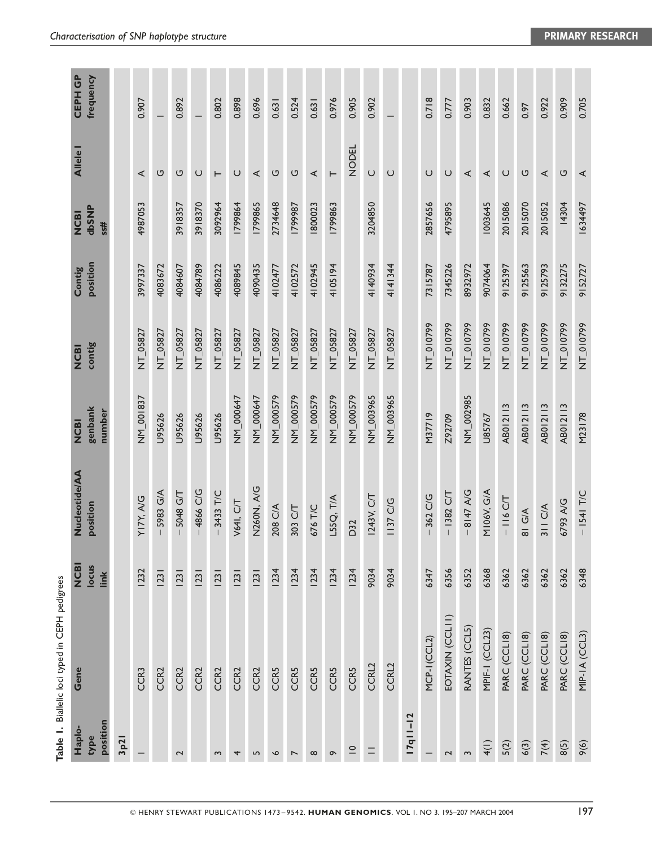|                            | Table 1. Biallelic loci typed in CEPH pedigrees |                             |                                  |                                  |                       |                    |                             |               |                             |
|----------------------------|-------------------------------------------------|-----------------------------|----------------------------------|----------------------------------|-----------------------|--------------------|-----------------------------|---------------|-----------------------------|
| position<br>Haplo-<br>type | Gene                                            | <b>NON</b><br>locus<br>link | <b>Nucleotide/AA</b><br>position | genbank<br>number<br><b>NCBI</b> | contig<br><b>NCBI</b> | position<br>Contig | dbSNP<br><b>NCBI</b><br>ss# | <b>Allele</b> | <b>CEPH GP</b><br>frequency |
| 3p21                       |                                                 |                             |                                  |                                  |                       |                    |                             |               |                             |
|                            | CCR3                                            | <b>1232</b>                 | YITY, A/G                        | NM_001837                        | NT_05827              | 3997337            | 4987053                     | ⋖             | 0.907                       |
|                            | CCR <sub>2</sub>                                | 23                          | 5983 G/A                         | U95626                           | NT_05827              | 4083672            |                             | U             |                             |
| 2                          | CCR <sub>2</sub>                                | 23                          | 5048 G/T                         | U95626                           | NT_05827              | 4084607            | 3918357                     | ပ             | 0.892                       |
|                            | CCR <sub>2</sub>                                | 23                          | $-4866$ C/G                      | U95626                           | NT_05827              | 4084789            | 3918370                     | $\cup$        |                             |
| $\sim$                     | CCR <sub>2</sub>                                | 23                          | $-3433$ T/C                      | U95626                           | NT_05827              | 4086222            | 3092964                     | $\vdash$      | 0.802                       |
| 4                          | CCR <sub>2</sub>                                | 23                          | <b>V64I, C/T</b>                 | NM_000647                        | NT_05827              | 4089845            | 1799864                     | $\cup$        | 0.898                       |
| 5                          | CCR <sub>2</sub>                                | 23                          | <b>NA, A/G</b>                   | NM_000647                        | NT_05827              | 4090435            | 1799865                     | $\prec$       | 0.696                       |
| $\bullet$                  | <b>CCR5</b>                                     | 1234                        | 208 C/A                          | NM_000579                        | NT_05827              | 4102477            | 2734648                     | U             | 0.631                       |
| $\overline{ }$             | <b>CCR5</b>                                     | 1234                        | 303 C/T                          | NM_000579                        | NT_05827              | 4102572            | 1866641                     | ပ             | 0.524                       |
| $\infty$                   | <b>CCR5</b>                                     | 1234                        | 676 T/C                          | NM_000579                        | NT_05827              | 4102945            | 1800023                     | $\prec$       | 0.631                       |
| $\sigma$                   | <b>CCR5</b>                                     | 1234                        | L55Q, T/A                        | NM_000579                        | NT_05827              | 4105194            | 1799863                     | $\vdash$      | 0.976                       |
| $\subseteq$                | <b>CCR5</b>                                     | <b>1234</b>                 | D32                              | NM_000579                        | NT_05827              |                    |                             | <b>NODEL</b>  | 0.905                       |
|                            | CCRL2                                           | 9034                        | 1243V, C/T                       | NM_003965                        | NT_05827              | 4140934            | 3204850                     | $\cup$        | 0.902                       |
|                            | CCRL2                                           | 9034                        | 1137 C/G                         | NM_003965                        | NT_05827              | 4141344            |                             | $\cup$        |                             |
| $17q11-12$                 |                                                 |                             |                                  |                                  |                       |                    |                             |               |                             |
|                            | MCP-I(CCL2)                                     | 6347                        | 362 C/G                          | M37719                           | NT_010799             | 7315787            | 2857656                     | $\cup$        | 0.718                       |
| $\mathbf 2$                | EOTAXIN (CCLII)                                 | 6356                        | $-1382$ C/T                      | Z92709                           | NT_010799             | 7345226            | 4795895                     | $\cup$        | 0.777                       |
| $\sim$                     | RANTES (CCL5)                                   | 6352                        | $-8147$ A/G                      | NM_002985                        | NT_010799             | 8932972            |                             | ⋖             | 0.903                       |
| 4(1)                       | MPIF-I (CCL23)                                  | 6368                        | M106V, G/A                       | U85767                           | NT_010799             | 9074064            | 1003645                     | $\prec$       | 0.832                       |
| 5(2)                       | PARC (CCLI8)                                    | 6362                        | $-116$ CT                        | AB012113                         | NT_010799             | 9125397            | 2015086                     | $\cup$        | 0.662                       |
| 6(3)                       | PARC (CCLI8)                                    | 6362                        | 81 G/A                           | AB012113                         | NT_010799             | 9125563            | 2015070                     | U             | 0.97                        |
| 7(4)                       | PARC (CCLI8)                                    | 6362                        | 311 C/A                          | AB012113                         | NT_010799             | 9125793            | 2015052                     | ⋖             | 0.922                       |
| 8(5)                       | PARC (CCLI8)                                    | 6362                        | 6793 A/G                         | AB012113                         | NT_010799             | 9132275            | 14304                       | U             | 0.909                       |
| 9(6)                       | MIP-IA (CCL3)                                   | 6348                        | $-1541$ T/C                      | M23178                           | NT_010799             | 9152727            | 1634497                     | $\prec$       | 0.705                       |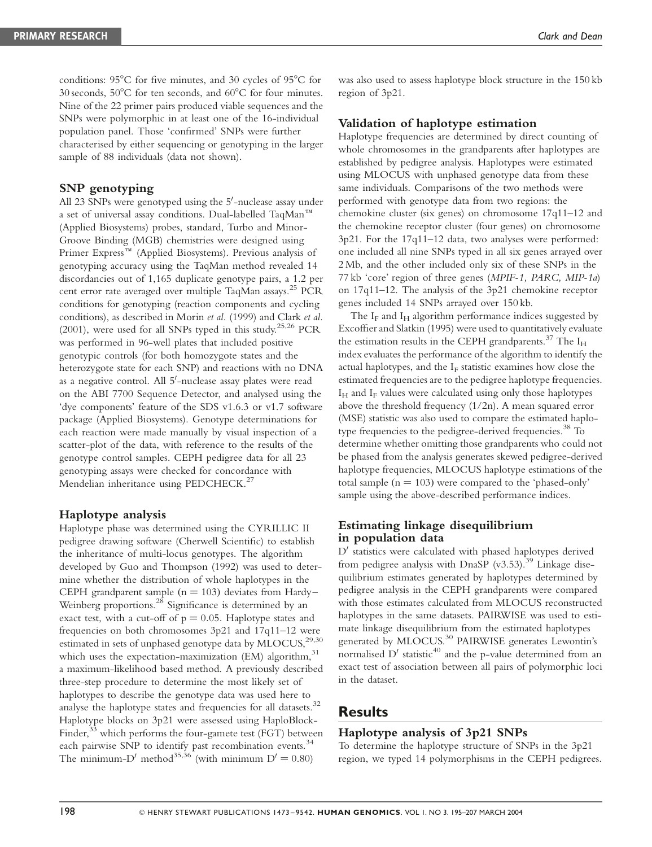conditions:  $95^{\circ}$ C for five minutes, and 30 cycles of  $95^{\circ}$ C for 30 seconds,  $50^{\circ}$ C for ten seconds, and  $60^{\circ}$ C for four minutes. Nine of the 22 primer pairs produced viable sequences and the SNPs were polymorphic in at least one of the 16-individual population panel. Those 'confirmed' SNPs were further characterised by either sequencing or genotyping in the larger sample of 88 individuals (data not shown).

## SNP genotyping

All 23 SNPs were genotyped using the 5'-nuclease assay under a set of universal assay conditions. Dual-labelled TaqMan<sup>™</sup> (Applied Biosystems) probes, standard, Turbo and Minor-Groove Binding (MGB) chemistries were designed using Primer Express<sup>™</sup> (Applied Biosystems). Previous analysis of genotyping accuracy using the TaqMan method revealed 14 discordancies out of 1,165 duplicate genotype pairs, a 1.2 per cent error rate averaged over multiple TaqMan assays.<sup>25</sup> PCR conditions for genotyping (reaction components and cycling conditions), as described in Morin et al. (1999) and Clark et al. (2001), were used for all SNPs typed in this study.<sup>25,26</sup> PCR was performed in 96-well plates that included positive genotypic controls (for both homozygote states and the heterozygote state for each SNP) and reactions with no DNA as a negative control. All 5'-nuclease assay plates were read on the ABI 7700 Sequence Detector, and analysed using the 'dye components' feature of the SDS v1.6.3 or v1.7 software package (Applied Biosystems). Genotype determinations for each reaction were made manually by visual inspection of a scatter-plot of the data, with reference to the results of the genotype control samples. CEPH pedigree data for all 23 genotyping assays were checked for concordance with Mendelian inheritance using PEDCHECK.<sup>27</sup>

### Haplotype analysis

Haplotype phase was determined using the CYRILLIC II pedigree drawing software (Cherwell Scientific) to establish the inheritance of multi-locus genotypes. The algorithm developed by Guo and Thompson (1992) was used to determine whether the distribution of whole haplotypes in the CEPH grandparent sample  $(n = 103)$  deviates from Hardy– Weinberg proportions. $^{28}$  Significance is determined by an exact test, with a cut-off of  $p = 0.05$ . Haplotype states and frequencies on both chromosomes 3p21 and 17q11–12 were estimated in sets of unphased genotype data by MLOCUS,<sup>29,30</sup> which uses the expectation-maximization (EM) algorithm, $31$ a maximum-likelihood based method. A previously described three-step procedure to determine the most likely set of haplotypes to describe the genotype data was used here to analyse the haplotype states and frequencies for all datasets.<sup>32</sup> Haplotype blocks on 3p21 were assessed using HaploBlock-Finder, $33$  which performs the four-gamete test (FGT) between each pairwise SNP to identify past recombination events.<sup>34</sup> The minimum-D' method<sup>35,36</sup> (with minimum  $D' = 0.80$ )

was also used to assess haplotype block structure in the 150 kb region of 3p21.

## Validation of haplotype estimation

Haplotype frequencies are determined by direct counting of whole chromosomes in the grandparents after haplotypes are established by pedigree analysis. Haplotypes were estimated using MLOCUS with unphased genotype data from these same individuals. Comparisons of the two methods were performed with genotype data from two regions: the chemokine cluster (six genes) on chromosome 17q11–12 and the chemokine receptor cluster (four genes) on chromosome 3p21. For the 17q11–12 data, two analyses were performed: one included all nine SNPs typed in all six genes arrayed over 2 Mb, and the other included only six of these SNPs in the 77 kb 'core' region of three genes (MPIF-1, PARC, MIP-1a) on 17q11–12. The analysis of the 3p21 chemokine receptor genes included 14 SNPs arrayed over 150 kb.

The  $I_F$  and  $I_H$  algorithm performance indices suggested by Excoffier and Slatkin (1995) were used to quantitatively evaluate the estimation results in the CEPH grandparents.<sup>37</sup> The  $I_H$ index evaluates the performance of the algorithm to identify the actual haplotypes, and the  $I_F$  statistic examines how close the estimated frequencies are to the pedigree haplotype frequencies.  $I_H$  and  $I_F$  values were calculated using only those haplotypes above the threshold frequency (1/2n). A mean squared error (MSE) statistic was also used to compare the estimated haplotype frequencies to the pedigree-derived frequencies.<sup>38</sup> To determine whether omitting those grandparents who could not be phased from the analysis generates skewed pedigree-derived haplotype frequencies, MLOCUS haplotype estimations of the total sample  $(n = 103)$  were compared to the 'phased-only' sample using the above-described performance indices.

## Estimating linkage disequilibrium in population data

 $D'$  statistics were calculated with phased haplotypes derived from pedigree analysis with DnaSP (v3.53).<sup>39</sup> Linkage disequilibrium estimates generated by haplotypes determined by pedigree analysis in the CEPH grandparents were compared with those estimates calculated from MLOCUS reconstructed haplotypes in the same datasets. PAIRWISE was used to estimate linkage disequilibrium from the estimated haplotypes generated by MLOCUS.<sup>30</sup> PAIRWISE generates Lewontin's normalised  $D'$  statistic<sup>40</sup> and the p-value determined from an exact test of association between all pairs of polymorphic loci in the dataset.

## Results

## Haplotype analysis of 3p21 SNPs

To determine the haplotype structure of SNPs in the 3p21 region, we typed 14 polymorphisms in the CEPH pedigrees.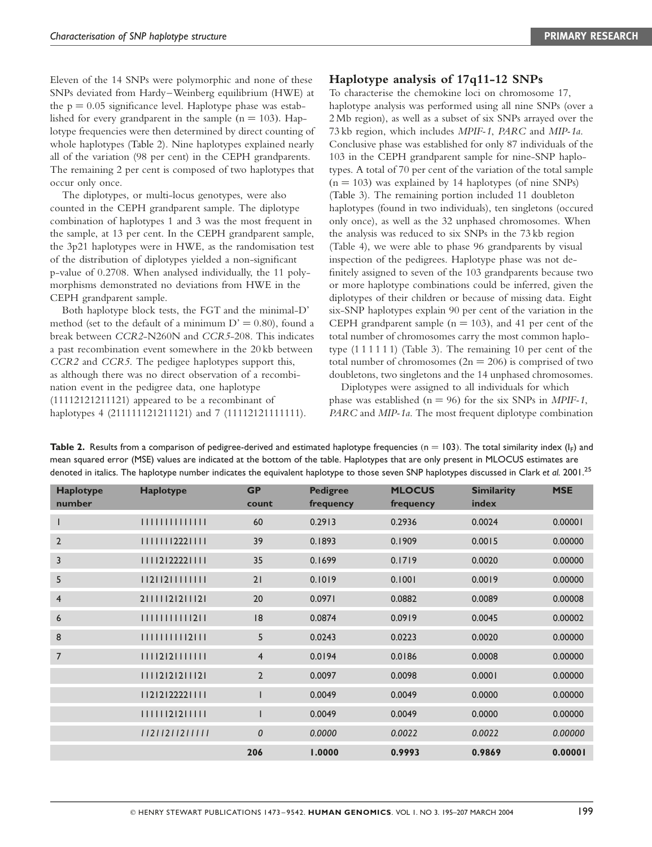Eleven of the 14 SNPs were polymorphic and none of these SNPs deviated from Hardy–Weinberg equilibrium (HWE) at the  $p = 0.05$  significance level. Haplotype phase was established for every grandparent in the sample  $(n = 103)$ . Haplotype frequencies were then determined by direct counting of whole haplotypes (Table 2). Nine haplotypes explained nearly all of the variation (98 per cent) in the CEPH grandparents. The remaining 2 per cent is composed of two haplotypes that occur only once.

The diplotypes, or multi-locus genotypes, were also counted in the CEPH grandparent sample. The diplotype combination of haplotypes 1 and 3 was the most frequent in the sample, at 13 per cent. In the CEPH grandparent sample, the 3p21 haplotypes were in HWE, as the randomisation test of the distribution of diplotypes yielded a non-significant p-value of 0.2708. When analysed individually, the 11 polymorphisms demonstrated no deviations from HWE in the CEPH grandparent sample.

Both haplotype block tests, the FGT and the minimal-D' method (set to the default of a minimum  $D' = 0.80$ ), found a break between CCR2-N260N and CCR5-208. This indicates a past recombination event somewhere in the 20 kb between CCR2 and CCR5. The pedigee haplotypes support this, as although there was no direct observation of a recombination event in the pedigree data, one haplotype (11112121211121) appeared to be a recombinant of haplotypes 4 (211111121211121) and 7 (11112121111111).

#### Haplotype analysis of 17q11-12 SNPs

To characterise the chemokine loci on chromosome 17, haplotype analysis was performed using all nine SNPs (over a 2 Mb region), as well as a subset of six SNPs arrayed over the 73 kb region, which includes MPIF-1, PARC and MIP-1a. Conclusive phase was established for only 87 individuals of the 103 in the CEPH grandparent sample for nine-SNP haplotypes. A total of 70 per cent of the variation of the total sample  $(n = 103)$  was explained by 14 haplotypes (of nine SNPs) (Table 3). The remaining portion included 11 doubleton haplotypes (found in two individuals), ten singletons (occured only once), as well as the 32 unphased chromosomes. When the analysis was reduced to six SNPs in the 73 kb region (Table 4), we were able to phase 96 grandparents by visual inspection of the pedigrees. Haplotype phase was not definitely assigned to seven of the 103 grandparents because two or more haplotype combinations could be inferred, given the diplotypes of their children or because of missing data. Eight six-SNP haplotypes explain 90 per cent of the variation in the CEPH grandparent sample ( $n = 103$ ), and 41 per cent of the total number of chromosomes carry the most common haplotype (1 1 1 1 1 1) (Table 3). The remaining 10 per cent of the total number of chromosomes  $(2n = 206)$  is comprised of two doubletons, two singletons and the 14 unphased chromosomes.

Diplotypes were assigned to all individuals for which phase was established ( $n = 96$ ) for the six SNPs in *MPIF-1*, PARC and MIP-1a. The most frequent diplotype combination

Table 2. Results from a comparison of pedigree-derived and estimated haplotype frequencies ( $n = 103$ ). The total similarity index ( $I_F$ ) and mean squared error (MSE) values are indicated at the bottom of the table. Haplotypes that are only present in MLOCUS estimates are denoted in italics. The haplotype number indicates the equivalent haplotype to those seven SNP haplotypes discussed in Clark et al. 2001.<sup>25</sup>

| <b>Haplotype</b><br>number | Haplotype        | <b>GP</b><br>count | <b>Pedigree</b><br>frequency | <b>MLOCUS</b><br>frequency | <b>Similarity</b><br>index | <b>MSE</b> |
|----------------------------|------------------|--------------------|------------------------------|----------------------------|----------------------------|------------|
|                            |                  | 60                 | 0.2913                       | 0.2936                     | 0.0024                     | 0.00001    |
| $\overline{2}$             | 1 1 1 1 222 111  | 39                 | 0.1893                       | 0.1909                     | 0.0015                     | 0.00000    |
| 3                          | 111212222111     | 35                 | 0.1699                       | 0.1719                     | 0.0020                     | 0.00000    |
| 5                          | 1 2 12 1111111   | 21                 | 0.1019                       | 0.1001                     | 0.0019                     | 0.00000    |
| $\overline{4}$             | 21111121211121   | 20                 | 0.0971                       | 0.0882                     | 0.0089                     | 0.00008    |
| 6                          | 1111111111211    | 8                  | 0.0874                       | 0.0919                     | 0.0045                     | 0.00002    |
| 8                          | 1111111112111    | 5                  | 0.0243                       | 0.0223                     | 0.0020                     | 0.00000    |
| 7                          | 11112121111111   | $\overline{4}$     | 0.0194                       | 0.0186                     | 0.0008                     | 0.00000    |
|                            | 11112121211121   | $\overline{2}$     | 0.0097                       | 0.0098                     | 0.0001                     | 0.00000    |
|                            | 11212122221111   | $\mathsf{I}$       | 0.0049                       | 0.0049                     | 0.0000                     | 0.00000    |
|                            | 1 1 1 12 2 1 1 1 | I                  | 0.0049                       | 0.0049                     | 0.0000                     | 0.00000    |
|                            | 11211211211111   | $\mathcal{O}$      | 0.0000                       | 0.0022                     | 0.0022                     | 0.00000    |
|                            |                  | 206                | 1.0000                       | 0.9993                     | 0.9869                     | 0.00001    |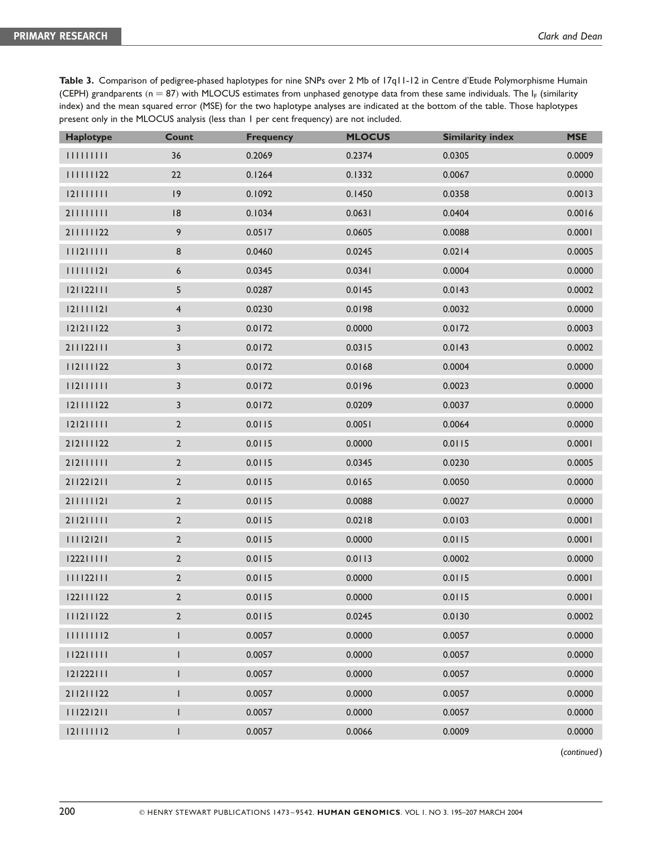| Table 3. Comparison of pedigree-phased haplotypes for nine SNPs over 2 Mb of 17q11-12 in Centre d'Etude Polymorphisme Humain          |
|---------------------------------------------------------------------------------------------------------------------------------------|
| (CEPH) grandparents ( $n = 87$ ) with MLOCUS estimates from unphased genotype data from these same individuals. The $I_F$ (similarity |
| index) and the mean squared error (MSE) for the two haplotype analyses are indicated at the bottom of the table. Those haplotypes     |
| present only in the MLOCUS analysis (less than 1 per cent frequency) are not included.                                                |

| <b>Haplotype</b> | <b>Count</b>            | <b>Frequency</b> | <b>MLOCUS</b> | <b>Similarity index</b> | <b>MSE</b> |
|------------------|-------------------------|------------------|---------------|-------------------------|------------|
| 111111111        | 36                      | 0.2069           | 0.2374        | 0.0305                  | 0.0009     |
| 22               | 22                      | 0.1264           | 0.1332        | 0.0067                  | 0.0000     |
| 121111111        | 9                       | 0.1092           | 0.1450        | 0.0358                  | 0.0013     |
| 21111111         | $\sqrt{8}$              | 0.1034           | 0.0631        | 0.0404                  | 0.0016     |
| 211111122        | 9                       | 0.0517           | 0.0605        | 0.0088                  | 0.0001     |
| 111211111        | 8                       | 0.0460           | 0.0245        | 0.0214                  | 0.0005     |
| 111111121        | 6                       | 0.0345           | 0.0341        | 0.0004                  | 0.0000     |
| 121122111        | 5                       | 0.0287           | 0.0145        | 0.0143                  | 0.0002     |
| 121111121        | $\overline{\mathbf{4}}$ | 0.0230           | 0.0198        | 0.0032                  | 0.0000     |
| 121211122        | $\mathsf{3}$            | 0.0172           | 0.0000        | 0.0172                  | 0.0003     |
| 211122111        | $\mathsf{3}$            | 0.0172           | 0.0315        | 0.0143                  | 0.0002     |
| 112111122        | 3                       | 0.0172           | 0.0168        | 0.0004                  | 0.0000     |
| 112111111        | 3                       | 0.0172           | 0.0196        | 0.0023                  | 0.0000     |
| 121111122        | 3                       | 0.0172           | 0.0209        | 0.0037                  | 0.0000     |
| 121211111        | $\mathbf 2$             | 0.0115           | 0.0051        | 0.0064                  | 0.0000     |
| 212111122        | $\mathbf 2$             | 0.0115           | 0.0000        | 0.0115                  | 0.0001     |
| 212111111        | $\mathbf 2$             | 0.0115           | 0.0345        | 0.0230                  | 0.0005     |
| 211221211        | $\mathbf 2$             | 0.0115           | 0.0165        | 0.0050                  | 0.0000     |
| 211111121        | $\mathbf 2$             | 0.0115           | 0.0088        | 0.0027                  | 0.0000     |
| 211211111        | $\mathbf 2$             | 0.0115           | 0.0218        | 0.0103                  | 0.0001     |
| 111121211        | $\mathbf 2$             | 0.0115           | 0.0000        | 0.0115                  | 0.0001     |
| 122211111        | $\mathbf 2$             | 0.0115           | 0.0113        | 0.0002                  | 0.0000     |
| 22               | $\mathbf 2$             | 0.0115           | 0.0000        | 0.0115                  | 0.0001     |
| 122111122        | $\mathbf 2$             | 0.0115           | 0.0000        | 0.0115                  | 0.0001     |
| 111211122        | $\overline{2}$          | 0.0115           | 0.0245        | 0.0130                  | 0.0002     |
| 111111112        | $\mathsf I$             | 0.0057           | 0.0000        | 0.0057                  | 0.0000     |
| 112211111        | $\mathsf I$             | 0.0057           | 0.0000        | 0.0057                  | 0.0000     |
| 121222111        | $\mathsf I$             | 0.0057           | 0.0000        | 0.0057                  | 0.0000     |
| 211211122        | $\mathsf I$             | 0.0057           | 0.0000        | 0.0057                  | 0.0000     |
| 111221211        | $\mathsf I$             | 0.0057           | 0.0000        | 0.0057                  | 0.0000     |
| 121111112        | $\sf I$                 | 0.0057           | 0.0066        | 0.0009                  | 0.0000     |

(continued)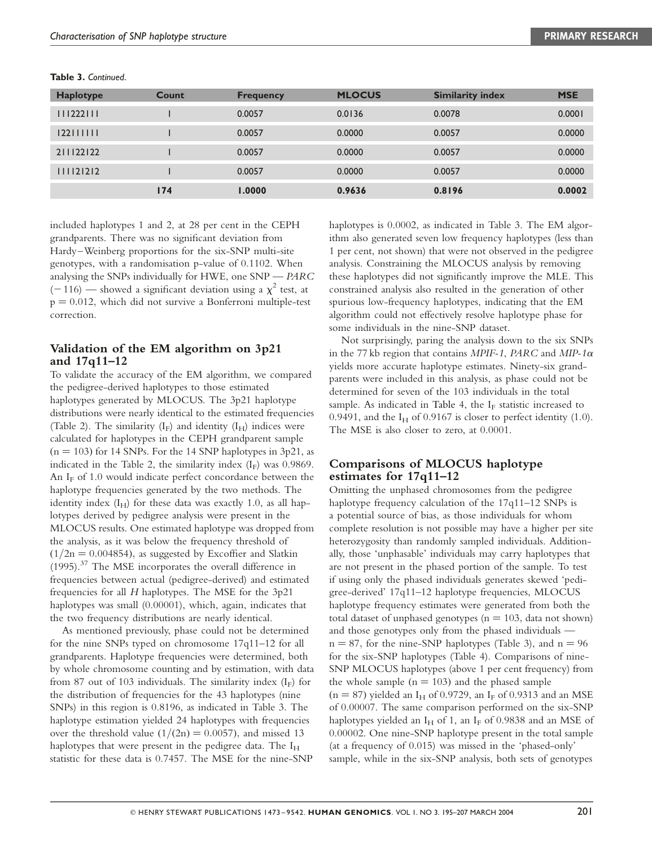| <b>Haplotype</b> | Count | <b>Frequency</b> | <b>MLOCUS</b> | <b>Similarity index</b> | <b>MSE</b> |
|------------------|-------|------------------|---------------|-------------------------|------------|
| 111222111        |       | 0.0057           | 0.0136        | 0.0078                  | 0.0001     |
| 122111111        |       | 0.0057           | 0.0000        | 0.0057                  | 0.0000     |
| 211122122        |       | 0.0057           | 0.0000        | 0.0057                  | 0.0000     |
| 111121212        |       | 0.0057           | 0.0000        | 0.0057                  | 0.0000     |
|                  | 174   | 1.0000           | 0.9636        | 0.8196                  | 0.0002     |

Table 3. Continued.

included haplotypes 1 and 2, at 28 per cent in the CEPH grandparents. There was no significant deviation from Hardy–Weinberg proportions for the six-SNP multi-site genotypes, with a randomisation p-value of 0.1102. When analysing the SNPs individually for HWE, one SNP — PARC  $(-116)$  — showed a significant deviation using a  $\chi^2$  test, at  $p = 0.012$ , which did not survive a Bonferroni multiple-test correction.

## Validation of the EM algorithm on 3p21 and 17q11–12

To validate the accuracy of the EM algorithm, we compared the pedigree-derived haplotypes to those estimated haplotypes generated by MLOCUS. The 3p21 haplotype distributions were nearly identical to the estimated frequencies (Table 2). The similarity  $(I_F)$  and identity  $(I_H)$  indices were calculated for haplotypes in the CEPH grandparent sample  $(n = 103)$  for 14 SNPs. For the 14 SNP haplotypes in 3p21, as indicated in the Table 2, the similarity index  $(I_F)$  was 0.9869. An  $I_F$  of 1.0 would indicate perfect concordance between the haplotype frequencies generated by the two methods. The identity index  $(I_H)$  for these data was exactly 1.0, as all haplotypes derived by pedigree analysis were present in the MLOCUS results. One estimated haplotype was dropped from the analysis, as it was below the frequency threshold of  $(1/2n = 0.004854)$ , as suggested by Excoffier and Slatkin (1995).<sup>37</sup> The MSE incorporates the overall difference in frequencies between actual (pedigree-derived) and estimated frequencies for all H haplotypes. The MSE for the 3p21 haplotypes was small (0.00001), which, again, indicates that the two frequency distributions are nearly identical.

As mentioned previously, phase could not be determined for the nine SNPs typed on chromosome 17q11–12 for all grandparents. Haplotype frequencies were determined, both by whole chromosome counting and by estimation, with data from 87 out of 103 individuals. The similarity index  $(I_F)$  for the distribution of frequencies for the 43 haplotypes (nine SNPs) in this region is 0.8196, as indicated in Table 3. The haplotype estimation yielded 24 haplotypes with frequencies over the threshold value  $(1/(2n) = 0.0057)$ , and missed 13 haplotypes that were present in the pedigree data. The  $I_H$ statistic for these data is 0.7457. The MSE for the nine-SNP

haplotypes is 0.0002, as indicated in Table 3. The EM algorithm also generated seven low frequency haplotypes (less than 1 per cent, not shown) that were not observed in the pedigree analysis. Constraining the MLOCUS analysis by removing these haplotypes did not significantly improve the MLE. This constrained analysis also resulted in the generation of other spurious low-frequency haplotypes, indicating that the EM algorithm could not effectively resolve haplotype phase for some individuals in the nine-SNP dataset.

Not surprisingly, paring the analysis down to the six SNPs in the 77 kb region that contains MPIF-1, PARC and MIP-1 $\alpha$ yields more accurate haplotype estimates. Ninety-six grandparents were included in this analysis, as phase could not be determined for seven of the 103 individuals in the total sample. As indicated in Table 4, the  $I_F$  statistic increased to 0.9491, and the  $I_H$  of 0.9167 is closer to perfect identity (1.0). The MSE is also closer to zero, at 0.0001.

## Comparisons of MLOCUS haplotype estimates for 17q11–12

Omitting the unphased chromosomes from the pedigree haplotype frequency calculation of the 17q11–12 SNPs is a potential source of bias, as those individuals for whom complete resolution is not possible may have a higher per site heterozygosity than randomly sampled individuals. Additionally, those 'unphasable' individuals may carry haplotypes that are not present in the phased portion of the sample. To test if using only the phased individuals generates skewed 'pedigree-derived' 17q11–12 haplotype frequencies, MLOCUS haplotype frequency estimates were generated from both the total dataset of unphased genotypes ( $n = 103$ , data not shown) and those genotypes only from the phased individuals  $n = 87$ , for the nine-SNP haplotypes (Table 3), and  $n = 96$ for the six-SNP haplotypes (Table 4). Comparisons of nine-SNP MLOCUS haplotypes (above 1 per cent frequency) from the whole sample  $(n = 103)$  and the phased sample  $(n = 87)$  yielded an I<sub>H</sub> of 0.9729, an I<sub>F</sub> of 0.9313 and an MSE of 0.00007. The same comparison performed on the six-SNP haplotypes yielded an  $I_H$  of 1, an  $I_F$  of 0.9838 and an MSE of 0.00002. One nine-SNP haplotype present in the total sample (at a frequency of 0.015) was missed in the 'phased-only' sample, while in the six-SNP analysis, both sets of genotypes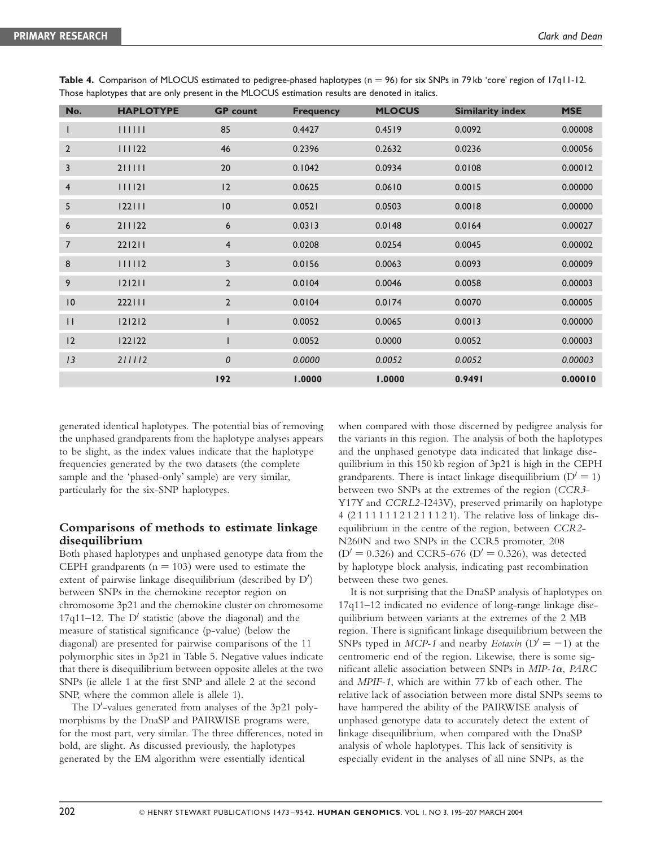| No.            | <b>HAPLOTYPE</b> | <b>GP</b> count  | <b>Frequency</b> | <b>MLOCUS</b> | <b>Similarity index</b> | <b>MSE</b> |
|----------------|------------------|------------------|------------------|---------------|-------------------------|------------|
| $\mathbf{I}$   | 111111           | 85               | 0.4427           | 0.4519        | 0.0092                  | 0.00008    |
| $\overline{2}$ | 111122           | 46               | 0.2396           | 0.2632        | 0.0236                  | 0.00056    |
| 3              | 211111           | 20               | 0.1042           | 0.0934        | 0.0108                  | 0.00012    |
| $\overline{4}$ | 111121           | 12               | 0.0625           | 0.0610        | 0.0015                  | 0.00000    |
| 5              | 122111           | $\overline{10}$  | 0.0521           | 0.0503        | 0.0018                  | 0.00000    |
| 6              | 211122           | 6                | 0.0313           | 0.0148        | 0.0164                  | 0.00027    |
| $\overline{7}$ | 221211           | $\overline{4}$   | 0.0208           | 0.0254        | 0.0045                  | 0.00002    |
| 8              | 111112           | 3                | 0.0156           | 0.0063        | 0.0093                  | 0.00009    |
| 9              | 121211           | $\overline{2}$   | 0.0104           | 0.0046        | 0.0058                  | 0.00003    |
| 0              | 222111           | $\overline{2}$   | 0.0104           | 0.0174        | 0.0070                  | 0.00005    |
| $\mathbf{H}$   | 121212           |                  | 0.0052           | 0.0065        | 0.0013                  | 0.00000    |
| 12             | 122122           |                  | 0.0052           | 0.0000        | 0.0052                  | 0.00003    |
| 13             | 211112           | $\boldsymbol{0}$ | 0.0000           | 0.0052        | 0.0052                  | 0.00003    |
|                |                  | 192              | 1.0000           | 1.0000        | 0.9491                  | 0.00010    |

Table 4. Comparison of MLOCUS estimated to pedigree-phased haplotypes ( $n = 96$ ) for six SNPs in 79 kb 'core' region of 17q11-12. Those haplotypes that are only present in the MLOCUS estimation results are denoted in italics.

generated identical haplotypes. The potential bias of removing the unphased grandparents from the haplotype analyses appears to be slight, as the index values indicate that the haplotype frequencies generated by the two datasets (the complete sample and the 'phased-only' sample) are very similar, particularly for the six-SNP haplotypes.

## Comparisons of methods to estimate linkage disequilibrium

Both phased haplotypes and unphased genotype data from the CEPH grandparents  $(n = 103)$  were used to estimate the extent of pairwise linkage disequilibrium (described by D') between SNPs in the chemokine receptor region on chromosome 3p21 and the chemokine cluster on chromosome  $17q11-12$ . The D' statistic (above the diagonal) and the measure of statistical significance (p-value) (below the diagonal) are presented for pairwise comparisons of the 11 polymorphic sites in 3p21 in Table 5. Negative values indicate that there is disequilibrium between opposite alleles at the two SNPs (ie allele 1 at the first SNP and allele 2 at the second SNP, where the common allele is allele 1).

The D'-values generated from analyses of the 3p21 polymorphisms by the DnaSP and PAIRWISE programs were, for the most part, very similar. The three differences, noted in bold, are slight. As discussed previously, the haplotypes generated by the EM algorithm were essentially identical

when compared with those discerned by pedigree analysis for the variants in this region. The analysis of both the haplotypes and the unphased genotype data indicated that linkage disequilibrium in this 150 kb region of 3p21 is high in the CEPH grandparents. There is intact linkage disequilibrium  $(D' = 1)$ between two SNPs at the extremes of the region (CCR3- Y17Y and CCRL2-I243V), preserved primarily on haplotype 4 (2 1 1 1 1 1 1 2 1 2 1 1 1 2 1). The relative loss of linkage disequilibrium in the centre of the region, between CCR2- N260N and two SNPs in the CCR5 promoter, 208  $(D' = 0.326)$  and CCR5-676  $(D' = 0.326)$ , was detected by haplotype block analysis, indicating past recombination between these two genes.

It is not surprising that the DnaSP analysis of haplotypes on 17q11–12 indicated no evidence of long-range linkage disequilibrium between variants at the extremes of the 2 MB region. There is significant linkage disequilibrium between the SNPs typed in MCP-1 and nearby Eotaxin  $(D' = -1)$  at the centromeric end of the region. Likewise, there is some significant allelic association between SNPs in  $MIP-1\alpha$ ,  $PARC$ and MPIF-1, which are within 77 kb of each other. The relative lack of association between more distal SNPs seems to have hampered the ability of the PAIRWISE analysis of unphased genotype data to accurately detect the extent of linkage disequilibrium, when compared with the DnaSP analysis of whole haplotypes. This lack of sensitivity is especially evident in the analyses of all nine SNPs, as the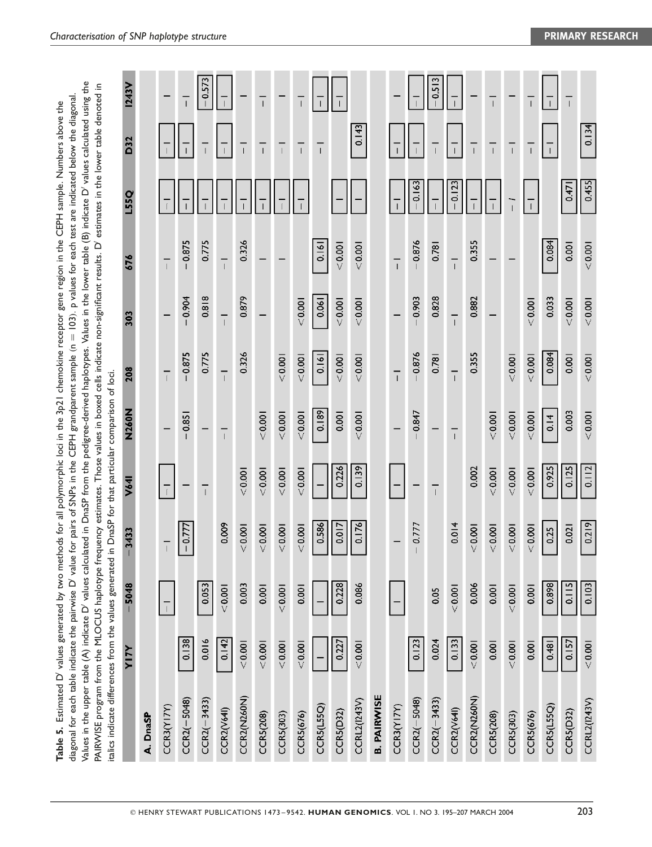| Values in the upper table (A) indicate D' values calculated in DnaSP from the pedigree-derived haplotypes. Values in the lower table (B) indicate D' values calculated using the<br>PAIRWISE program from the MLOCUS haplotype frequency estimates. Those values in boxed cells indicate non-significant results. D' estimates in the lower table denoted in<br>diagonal for each table indicate the pairwise D' value for pairs of SNPs in the CEPH grandparent sample (n = 103). p values for each test are indicated below the diagonal.<br>talics indicate differences from the values generated in DnaSP for that particular comparison of loci. | Table 5. Estimated D' values generated by two methods for all polymorphic loci in the 3p21 chemokine receptor gene region in the CEPH sample. Numbers above the |
|-------------------------------------------------------------------------------------------------------------------------------------------------------------------------------------------------------------------------------------------------------------------------------------------------------------------------------------------------------------------------------------------------------------------------------------------------------------------------------------------------------------------------------------------------------------------------------------------------------------------------------------------------------|-----------------------------------------------------------------------------------------------------------------------------------------------------------------|
|                                                                                                                                                                                                                                                                                                                                                                                                                                                                                                                                                                                                                                                       |                                                                                                                                                                 |
|                                                                                                                                                                                                                                                                                                                                                                                                                                                                                                                                                                                                                                                       |                                                                                                                                                                 |
|                                                                                                                                                                                                                                                                                                                                                                                                                                                                                                                                                                                                                                                       |                                                                                                                                                                 |
|                                                                                                                                                                                                                                                                                                                                                                                                                                                                                                                                                                                                                                                       |                                                                                                                                                                 |

|                     | <b>ALIA</b> | $-5048$ | 1433<br>ှ             | V641           | N260N          | 208            | 303            | 676            | L55Q           | D32            | <b>1243V</b>             |
|---------------------|-------------|---------|-----------------------|----------------|----------------|----------------|----------------|----------------|----------------|----------------|--------------------------|
| A. DnaSP            |             |         |                       |                |                |                |                |                |                |                |                          |
| CCR3(YI7Y)          |             |         |                       |                |                | $\overline{1}$ |                | $\frac{1}{1}$  |                |                |                          |
| $CCR2(-5048)$       | 0.138       |         | 0.777<br>$\mathsf{L}$ |                | $-0.851$       | $-0.875$       | $-0.904$       | $-0.875$       |                |                | $\overline{1}$           |
| $CCR2(-3433)$       | 0.016       | 0.053   |                       | $\overline{1}$ |                | 0.775          | 0.818          | 0.775          |                | $\overline{1}$ | $-0.573$                 |
| <b>CCR2(V64I)</b>   | 0.142       | < 0.001 | 0.009                 |                | $\overline{1}$ | $\overline{1}$ | $\overline{1}$ | $\overline{1}$ |                |                |                          |
| CCR2(N260N)         | 0.001       | 0.003   | 0.001                 | < 0.001        |                | 0.326          | 0.879          | 0.326          |                | $\overline{1}$ |                          |
| CCR5(208)           | < 0.001     | 0.001   | 0.001<br>V            | < 0.001        | < 0.001        |                |                |                |                | $\overline{1}$ | $\overline{1}$           |
| CCR5(303)           | < 0.001     | < 0.001 | 0.001                 | < 0.001        | < 0.001        | < 0.001        |                |                |                |                |                          |
| CCR5(676)           | < 0.001     | 0.001   | 0.001<br>V            | < 0.001        | < 0.001        | < 0.001        | < 0.001        |                |                | $\overline{1}$ | $\overline{\phantom{a}}$ |
| CCR5(LS5Q)          |             |         | 0.586                 |                | 0.189          | 0.161          | 0.061          | 0.161          |                | $\overline{1}$ |                          |
| CCR5(D32)           | 0.227       | 0.228   | 0.017                 | 0.226          | 0.001          | < 0.001        | < 0.001        | < 0.001        |                |                |                          |
| CCRL2(1243V)        | < 0.001     | 0.086   | 0.176                 | 0.139          | < 0.001        | < 0.001        | < 0.001        | < 0.001        |                | 0.143          |                          |
| <b>B. PAIRWISE</b>  |             |         |                       |                |                |                |                |                |                |                |                          |
| CCR3(YI7Y)          |             |         |                       |                |                | $\overline{1}$ |                | ī              |                |                |                          |
| $CCR2(-5048)$       | 0.123       |         | 0.777                 |                | $-0.847$       | $-0.876$       | $-0.903$       | $-0.876$       | $-0.163$       |                |                          |
| $CCR2(-3433)$       | 0.024       | 0.05    |                       | $\overline{1}$ |                | 0.781          | 0.828          | 0.781          |                | $\overline{1}$ | $-0.513$                 |
| CCR2(V64I)          | 0.133       | 0.001   | 0.014                 |                | $\overline{1}$ | $\overline{1}$ | $\overline{1}$ | $\overline{1}$ | $-0.123$       | $\overline{1}$ |                          |
| CCR2(N260N)         | < 0.001     | 0.006   | 0.001<br>V            | 0.002          |                | 0.355          | 0.882          | 0.355          |                |                |                          |
| CCR5(208)           | 0.001       | 0.001   | < 0.001               | < 0.001        | < 0.001        |                |                |                |                | $\overline{1}$ | $\overline{1}$           |
| CCR5(303)           | < 0.001     | < 0.001 | 0.001<br>V            | < 0.001        | < 0.001        | < 0.001        |                |                | $\overline{1}$ | $\overline{1}$ |                          |
| CCR5(676)           | 0.001       | 0.001   | 0.001<br>V            | < 0.001        | < 0.001        | < 0.001        | < 0.001        |                | $\overline{1}$ | $\overline{1}$ | $\overline{1}$           |
| CCRS(L55Q)          | 0.481       | 0.898   | 0.25                  | 0.925          | 0.14           | 0.084          | 0.033          | 0.084          |                | $\overline{1}$ |                          |
| CCR5(D32)           | 0.157       | 0.115   | 0.021                 | 0.125          | 0.003          | 0.001          | < 0.001        | 0.001          | 0.471          |                | $\overline{1}$           |
| <b>CCRL2(1243V)</b> | < 0.001     | 0.103   | 0.219                 | 0.112          | < 0.001        | < 0.001        | < 0.001        | < 0.001        | 0.455          | 0.134          |                          |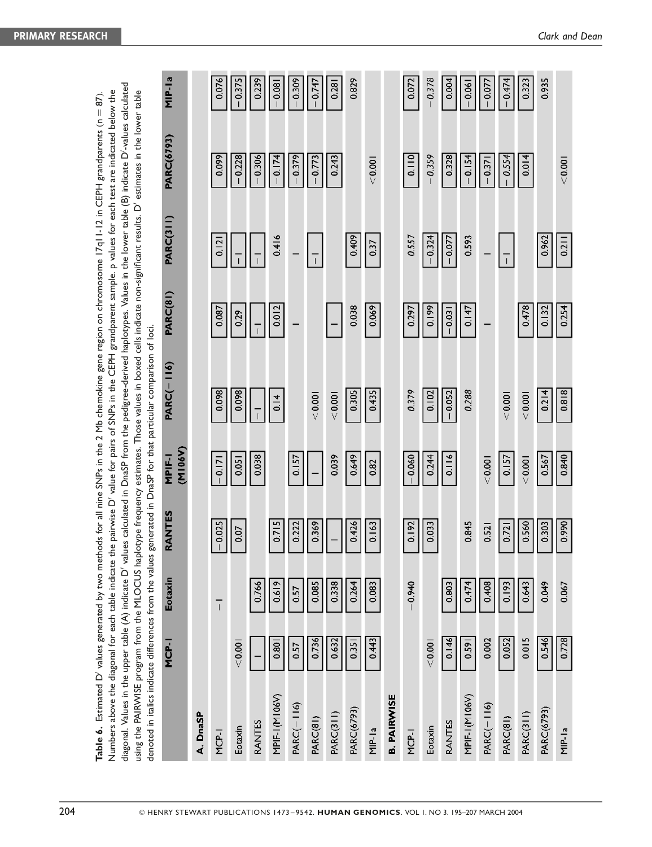|                    |         |                |                   |                   | diagonal. Values in the upper table (A) indicate D' values calculated in DnaSP from the pedigree-derived haplotypes. Values in the lower table (B) indicate D'-values calculated<br>Numbers above the diagonal for each table indicate the pairwise D' value for pairs of SNPs in the CEPH grandparent sample. p values for each test are indicated below the<br>using the PAIRWISE program from the MLOCUS haplotype frequency estimates. Those values in boxed cells indicate non-significant results. D'estimates in the lower table<br>denoted in italics indicate differences from the values generated in DnaSP for that particular comparison of loci. |          |                  |                   |          |
|--------------------|---------|----------------|-------------------|-------------------|---------------------------------------------------------------------------------------------------------------------------------------------------------------------------------------------------------------------------------------------------------------------------------------------------------------------------------------------------------------------------------------------------------------------------------------------------------------------------------------------------------------------------------------------------------------------------------------------------------------------------------------------------------------|----------|------------------|-------------------|----------|
|                    | MCP-I   | Eotaxin        | <b>ANTES</b><br>œ | (M106V)<br>MPIF-1 | <b>PARC(-116)</b>                                                                                                                                                                                                                                                                                                                                                                                                                                                                                                                                                                                                                                             | PARC(81) | <b>PARC(311)</b> | <b>PARC(6793)</b> | MIP-la   |
| A. DnaSP           |         |                |                   |                   |                                                                                                                                                                                                                                                                                                                                                                                                                                                                                                                                                                                                                                                               |          |                  |                   |          |
| MCP-I              |         | $\overline{1}$ | $-0.025$          | 0.171             | 0.098                                                                                                                                                                                                                                                                                                                                                                                                                                                                                                                                                                                                                                                         | 0.087    | 0.121            | 0.099             | 0.076    |
| Eotaxin            | < 0.001 |                | 0.07              | 0.051             | 0.098                                                                                                                                                                                                                                                                                                                                                                                                                                                                                                                                                                                                                                                         | 0.29     |                  | $-0.228$          | $-0.375$ |
| <b>RANTES</b>      |         | 0.766          |                   | 0.038             |                                                                                                                                                                                                                                                                                                                                                                                                                                                                                                                                                                                                                                                               |          |                  | 0.306             | 0.239    |
| MPIF-1(M106V)      | 0.801   | 0.619          | 0.715             |                   | 0.14                                                                                                                                                                                                                                                                                                                                                                                                                                                                                                                                                                                                                                                          | 0.012    | 0.416            | $-0.174$          | $-0.081$ |
| PARC(-116)         | 0.57    | 0.57           | 0.222             | 0.157             |                                                                                                                                                                                                                                                                                                                                                                                                                                                                                                                                                                                                                                                               |          |                  | $-0.379$          | $-0.309$ |
| PARC(81)           | 0.736   | 0.085          | 0.369             |                   | < 0.001                                                                                                                                                                                                                                                                                                                                                                                                                                                                                                                                                                                                                                                       |          |                  | $-0.773$          | 0.747    |
| PARC(311)          | 0.632   | 0.338          |                   | 0.039             | < 0.001                                                                                                                                                                                                                                                                                                                                                                                                                                                                                                                                                                                                                                                       |          |                  | 0.243             | 0.281    |
| <b>PARC(6793)</b>  | 0.351   | 0.264          | 0.426             | 0.649             | 0.305                                                                                                                                                                                                                                                                                                                                                                                                                                                                                                                                                                                                                                                         | 0.038    | 0.409            |                   | 0.829    |
| $MP-Ia$            | 0.443   | 0.083          | 0.163             | 0.82              | 0.435                                                                                                                                                                                                                                                                                                                                                                                                                                                                                                                                                                                                                                                         | 0.069    | 0.37             | < 0.001           |          |
| <b>B. PAIRWISE</b> |         |                |                   |                   |                                                                                                                                                                                                                                                                                                                                                                                                                                                                                                                                                                                                                                                               |          |                  |                   |          |
| MCP-I              |         | $-0.940$       | 0.192             | $-0.060$          | 0.379                                                                                                                                                                                                                                                                                                                                                                                                                                                                                                                                                                                                                                                         | 0.297    | 0.557            | 0.110             | 0.072    |
| Eotaxin            | < 0.001 |                | 0.033             | 0.244             | 0.102                                                                                                                                                                                                                                                                                                                                                                                                                                                                                                                                                                                                                                                         | 0.199    | $-0.324$         | 0.359             | 0.378    |
| RANTES             | 0.146   | 0.803          |                   | 0.116             | $-0.052$                                                                                                                                                                                                                                                                                                                                                                                                                                                                                                                                                                                                                                                      | $-0.031$ | $-0.077$         | 0.328             | 0.004    |
| MPIF-1 (M106V)     | 0.591   | 0.474          | 0.845             |                   | 0.288                                                                                                                                                                                                                                                                                                                                                                                                                                                                                                                                                                                                                                                         | 0.147    | 0.593            | $-0.154$          | $-0.061$ |
| $PARC(-116)$       | 0.002   | 0.408          | 0.521             | < 0.001           |                                                                                                                                                                                                                                                                                                                                                                                                                                                                                                                                                                                                                                                               |          |                  | $-0.371$          | $-0.077$ |
| PARC(81)           | 0.052   | 0.193          | 0.721             | 0.157             | < 0.001                                                                                                                                                                                                                                                                                                                                                                                                                                                                                                                                                                                                                                                       |          | $\overline{1}$   | 0.554             | 0.474    |
| <b>PARC(311)</b>   | 0.015   | 0.643          | 0.560             | < 0.001           | < 0.001                                                                                                                                                                                                                                                                                                                                                                                                                                                                                                                                                                                                                                                       | 0.478    |                  | 0.014             | 0.323    |
| <b>PARC(6793)</b>  | 0.546   | 0.049          | 0.303             | 0.567             | 0.214                                                                                                                                                                                                                                                                                                                                                                                                                                                                                                                                                                                                                                                         | 0.132    | 0.962            |                   | 0.935    |
| $MP-la$            | 0.728   | 0.067          | 0.990             | 0.840             | 0.818                                                                                                                                                                                                                                                                                                                                                                                                                                                                                                                                                                                                                                                         | 0.254    | 0.211            | < 0.001           |          |

Table 6. Estimated D<sup>o</sup> values generated by two methods for all nine SNPs in the 2 Mb chemokine gene region on chromosome 17q11-12 in CEPH grandparents (n = 87).

Table 6. Estimated D' values generated by two methods for all nine SNPs in the 2 Mb chemokine gene region on chromosome 17q11-12 in CEPH grandparents (n = 87).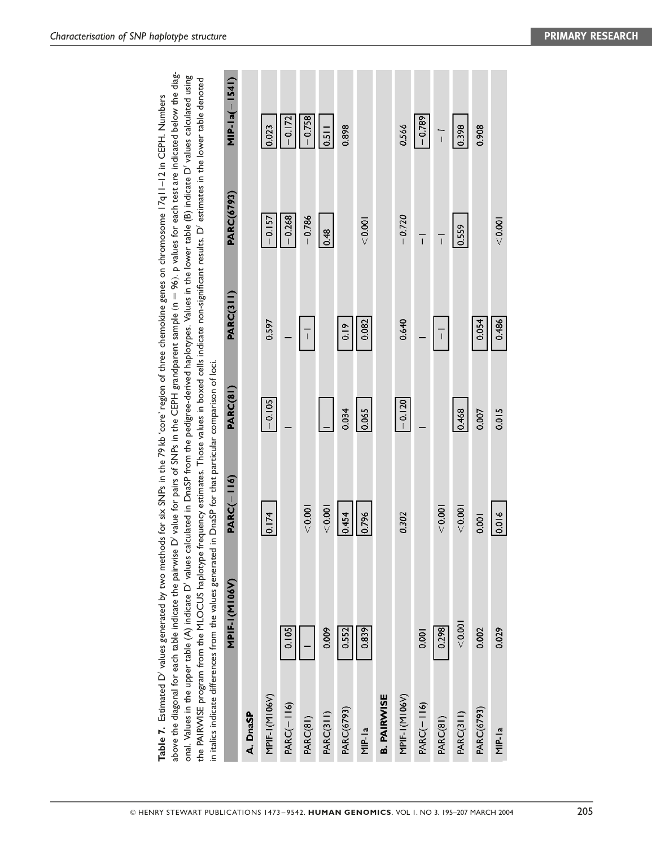|                    | onal. Values in the upper table (A) indicate D' values calculated in DnaSP from the pedigree-derived haplotypes. Values in the lower table (B) indicate D' values calculated using<br>the PAIRWISE program from the MLOCUS haplotype frequency estimates. Those values in boxed cells indicate non-significant results. D'estimates in the lower table denoted<br>in italics indicate differences from the values generated in DnaSP for that particular comparison of loci. |                   |          |                |                   |                 |
|--------------------|------------------------------------------------------------------------------------------------------------------------------------------------------------------------------------------------------------------------------------------------------------------------------------------------------------------------------------------------------------------------------------------------------------------------------------------------------------------------------|-------------------|----------|----------------|-------------------|-----------------|
|                    | <b>MPIF-I(M106V)</b>                                                                                                                                                                                                                                                                                                                                                                                                                                                         | <b>PARC(-116)</b> | PARC(81) | PARC(311)      | <b>PARC(6793)</b> | $MIP-Ia(-1541)$ |
| A. DnaSP           |                                                                                                                                                                                                                                                                                                                                                                                                                                                                              |                   |          |                |                   |                 |
| MPIF-1(M106V)      |                                                                                                                                                                                                                                                                                                                                                                                                                                                                              | 0.174             | $-0.105$ | 0.597          | $-0.157$          | 0.023           |
| $PARC(-116)$       | 0.105                                                                                                                                                                                                                                                                                                                                                                                                                                                                        |                   |          |                | $-0.268$          | $-0.172$        |
| PARC(81)           |                                                                                                                                                                                                                                                                                                                                                                                                                                                                              | < 0.001           |          | $\overline{1}$ | $-0.786$          | $-0.758$        |
| PARC(311)          | 0.009                                                                                                                                                                                                                                                                                                                                                                                                                                                                        | < 0.001           |          |                | 0.48              | 0.511           |
| <b>PARC(6793)</b>  | 0.552                                                                                                                                                                                                                                                                                                                                                                                                                                                                        | 0.454             | 0.034    | 0.19           |                   | 0.898           |
| $MIP-la$           | 0.839                                                                                                                                                                                                                                                                                                                                                                                                                                                                        | 0.796             | 0.065    | 0.082          | 10000             |                 |
| <b>B. PAIRWISE</b> |                                                                                                                                                                                                                                                                                                                                                                                                                                                                              |                   |          |                |                   |                 |
| MPIF-1(M106V)      |                                                                                                                                                                                                                                                                                                                                                                                                                                                                              | 0.302             | $-0.120$ | 0.640          | $-0.720$          | 0.566           |
| $PARC(-116)$       | 0.001                                                                                                                                                                                                                                                                                                                                                                                                                                                                        |                   |          |                | $\overline{1}$    | $-0.789$        |
| PARC(81)           | 0.298                                                                                                                                                                                                                                                                                                                                                                                                                                                                        | < 0.001           |          | $\overline{1}$ | $\overline{1}$    | $\vec{L}$       |
| PARC(311)          | < 0.001                                                                                                                                                                                                                                                                                                                                                                                                                                                                      | < 0.001           | 0.468    |                | 0.559             | 0.398           |
| <b>PARC(6793)</b>  | 0.002                                                                                                                                                                                                                                                                                                                                                                                                                                                                        | 0.001             | 0.007    | 0.054          |                   | 0.908           |
| $MIP-la$           | 0.029                                                                                                                                                                                                                                                                                                                                                                                                                                                                        | 0.016             | 0.015    | 0.486          | < 0.001           |                 |

**Table 7.** Estimated D<sup>o</sup> values generated by two methods for six SNPs in the 79 kb 'core' region of three chemokine genes on chromosome 17q11–12 in CEPH. Numbers above the diagonal for each table indicate the pairwise D' value for pairs of SNPs in the CEPH grandparent sample (n = 96). p values for each test are indicated below the diag-

Table 7. Estimated D' values generated by two methods for six SNPs in the 79 kb 'core' region of three chemokine genes on chromosome 17q11-12 in CEPH. Numbers

above the diagonal for each table indicate the pairwise D' value for pairs of SNPs in the CEPH grandparent sample ( $n = 96$ ). p values for each test are indicated below the diag-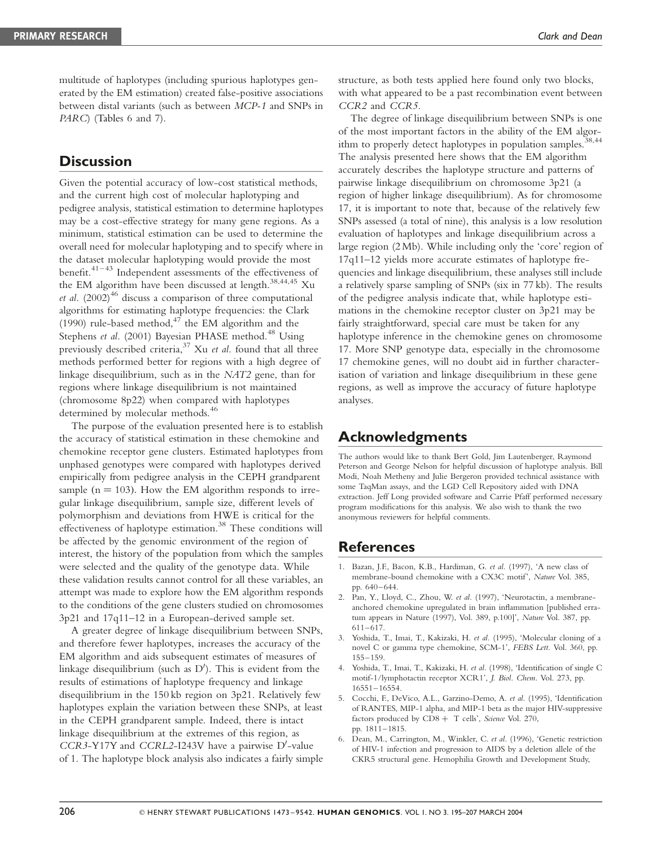multitude of haplotypes (including spurious haplotypes generated by the EM estimation) created false-positive associations between distal variants (such as between MCP-1 and SNPs in PARC) (Tables 6 and 7).

# **Discussion**

Given the potential accuracy of low-cost statistical methods, and the current high cost of molecular haplotyping and pedigree analysis, statistical estimation to determine haplotypes may be a cost-effective strategy for many gene regions. As a minimum, statistical estimation can be used to determine the overall need for molecular haplotyping and to specify where in the dataset molecular haplotyping would provide the most benefit.41–43 Independent assessments of the effectiveness of the EM algorithm have been discussed at length.<sup>38,44,45</sup> Xu et al.  $(2002)^{46}$  discuss a comparison of three computational algorithms for estimating haplotype frequencies: the Clark (1990) rule-based method, $47$  the EM algorithm and the Stephens et al. (2001) Bayesian PHASE method.<sup>48</sup> Using previously described criteria, $37$  Xu et al. found that all three methods performed better for regions with a high degree of linkage disequilibrium, such as in the NAT2 gene, than for regions where linkage disequilibrium is not maintained (chromosome 8p22) when compared with haplotypes determined by molecular methods.<sup>46</sup>

The purpose of the evaluation presented here is to establish the accuracy of statistical estimation in these chemokine and chemokine receptor gene clusters. Estimated haplotypes from unphased genotypes were compared with haplotypes derived empirically from pedigree analysis in the CEPH grandparent sample ( $n = 103$ ). How the EM algorithm responds to irregular linkage disequilibrium, sample size, different levels of polymorphism and deviations from HWE is critical for the effectiveness of haplotype estimation.<sup>38</sup> These conditions will be affected by the genomic environment of the region of interest, the history of the population from which the samples were selected and the quality of the genotype data. While these validation results cannot control for all these variables, an attempt was made to explore how the EM algorithm responds to the conditions of the gene clusters studied on chromosomes 3p21 and 17q11–12 in a European-derived sample set.

A greater degree of linkage disequilibrium between SNPs, and therefore fewer haplotypes, increases the accuracy of the EM algorithm and aids subsequent estimates of measures of linkage disequilibrium (such as  $D'$ ). This is evident from the results of estimations of haplotype frequency and linkage disequilibrium in the 150 kb region on 3p21. Relatively few haplotypes explain the variation between these SNPs, at least in the CEPH grandparent sample. Indeed, there is intact linkage disequilibrium at the extremes of this region, as  $CCR3-Y17Y$  and  $CCRL2-I243V$  have a pairwise D'-value of 1. The haplotype block analysis also indicates a fairly simple structure, as both tests applied here found only two blocks, with what appeared to be a past recombination event between CCR2 and CCR5.

The degree of linkage disequilibrium between SNPs is one of the most important factors in the ability of the EM algorithm to properly detect haplotypes in population samples.<sup>38,44</sup> The analysis presented here shows that the EM algorithm accurately describes the haplotype structure and patterns of pairwise linkage disequilibrium on chromosome 3p21 (a region of higher linkage disequilibrium). As for chromosome 17, it is important to note that, because of the relatively few SNPs assessed (a total of nine), this analysis is a low resolution evaluation of haplotypes and linkage disequilibrium across a large region (2 Mb). While including only the 'core' region of 17q11–12 yields more accurate estimates of haplotype frequencies and linkage disequilibrium, these analyses still include a relatively sparse sampling of SNPs (six in 77 kb). The results of the pedigree analysis indicate that, while haplotype estimations in the chemokine receptor cluster on 3p21 may be fairly straightforward, special care must be taken for any haplotype inference in the chemokine genes on chromosome 17. More SNP genotype data, especially in the chromosome 17 chemokine genes, will no doubt aid in further characterisation of variation and linkage disequilibrium in these gene regions, as well as improve the accuracy of future haplotype analyses.

# Acknowledgments

The authors would like to thank Bert Gold, Jim Lautenberger, Raymond Peterson and George Nelson for helpful discussion of haplotype analysis. Bill Modi, Noah Metheny and Julie Bergeron provided technical assistance with some TaqMan assays, and the LGD Cell Repository aided with DNA extraction. Jeff Long provided software and Carrie Pfaff performed necessary program modifications for this analysis. We also wish to thank the two anonymous reviewers for helpful comments.

## References

- 1. Bazan, J.F., Bacon, K.B., Hardiman, G. et al. (1997), 'A new class of membrane-bound chemokine with a CX3C motif', Nature Vol. 385, pp. 640–644.
- 2. Pan, Y., Lloyd, C., Zhou, W. et al. (1997), 'Neurotactin, a membraneanchored chemokine upregulated in brain inflammation [published erratum appears in Nature (1997), Vol. 389, p.100]', Nature Vol. 387, pp. 611–617.
- 3. Yoshida, T., Imai, T., Kakizaki, H. et al. (1995), 'Molecular cloning of a novel C or gamma type chemokine, SCM-1', FEBS Lett. Vol. 360, pp. 155–159.
- 4. Yoshida, T., Imai, T., Kakizaki, H. et al. (1998), 'Identification of single C motif-1/lymphotactin receptor XCR1', J. Biol. Chem. Vol. 273, pp. 16551–16554.
- 5. Cocchi, F., DeVico, A.L., Garzino-Demo, A. et al. (1995), 'Identification of RANTES, MIP-1 alpha, and MIP-1 beta as the major HIV-suppressive factors produced by  $CDS + T$  cells', Science Vol. 270, pp. 1811–1815.
- Dean, M., Carrington, M., Winkler, C. et al. (1996), 'Genetic restriction of HIV-1 infection and progression to AIDS by a deletion allele of the CKR5 structural gene. Hemophilia Growth and Development Study,